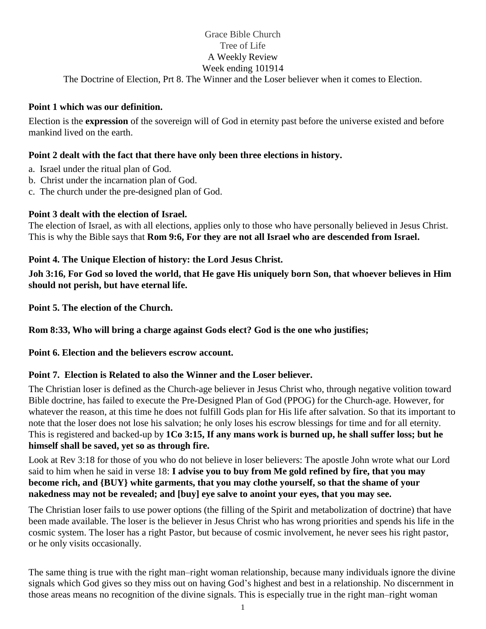# Grace Bible Church Tree of Life A Weekly Review Week ending 101914

The Doctrine of Election, Prt 8. The Winner and the Loser believer when it comes to Election.

#### **Point 1 which was our definition.**

Election is the **expression** of the sovereign will of God in eternity past before the universe existed and before mankind lived on the earth.

### **Point 2 dealt with the fact that there have only been three elections in history.**

- a. Israel under the ritual plan of God.
- b. Christ under the incarnation plan of God.
- c. The church under the pre-designed plan of God.

#### **Point 3 dealt with the election of Israel.**

The election of Israel, as with all elections, applies only to those who have personally believed in Jesus Christ. This is why the Bible says that **Rom 9:6, For they are not all Israel who are descended from Israel.**

#### **Point 4. The Unique Election of history: the Lord Jesus Christ.**

**Joh 3:16, For God so loved the world, that He gave His uniquely born Son, that whoever believes in Him should not perish, but have eternal life.**

**Point 5. The election of the Church.** 

**Rom 8:33, Who will bring a charge against Gods elect? God is the one who justifies;**

**Point 6. Election and the believers escrow account.**

## **Point 7. Election is Related to also the Winner and the Loser believer.**

The Christian loser is defined as the Church-age believer in Jesus Christ who, through negative volition toward Bible doctrine, has failed to execute the Pre-Designed Plan of God (PPOG) for the Church-age. However, for whatever the reason, at this time he does not fulfill Gods plan for His life after salvation. So that its important to note that the loser does not lose his salvation; he only loses his escrow blessings for time and for all eternity. This is registered and backed-up by **1Co 3:15, If any mans work is burned up, he shall suffer loss; but he himself shall be saved, yet so as through fire.**

Look at Rev 3:18 for those of you who do not believe in loser believers: The apostle John wrote what our Lord said to him when he said in verse 18: **I advise you to buy from Me gold refined by fire, that you may become rich, and {BUY} white garments, that you may clothe yourself, so that the shame of your nakedness may not be revealed; and [buy] eye salve to anoint your eyes, that you may see.**

The Christian loser fails to use power options (the filling of the Spirit and metabolization of doctrine) that have been made available. The loser is the believer in Jesus Christ who has wrong priorities and spends his life in the cosmic system. The loser has a right Pastor, but because of cosmic involvement, he never sees his right pastor, or he only visits occasionally.

The same thing is true with the right man–right woman relationship, because many individuals ignore the divine signals which God gives so they miss out on having God's highest and best in a relationship. No discernment in those areas means no recognition of the divine signals. This is especially true in the right man–right woman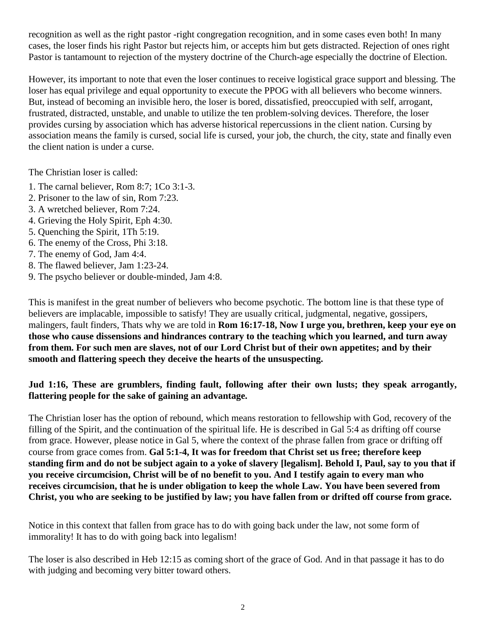recognition as well as the right pastor -right congregation recognition, and in some cases even both! In many cases, the loser finds his right Pastor but rejects him, or accepts him but gets distracted. Rejection of ones right Pastor is tantamount to rejection of the mystery doctrine of the Church-age especially the doctrine of Election.

However, its important to note that even the loser continues to receive logistical grace support and blessing. The loser has equal privilege and equal opportunity to execute the PPOG with all believers who become winners. But, instead of becoming an invisible hero, the loser is bored, dissatisfied, preoccupied with self, arrogant, frustrated, distracted, unstable, and unable to utilize the ten problem-solving devices. Therefore, the loser provides cursing by association which has adverse historical repercussions in the client nation. Cursing by association means the family is cursed, social life is cursed, your job, the church, the city, state and finally even the client nation is under a curse.

The Christian loser is called:

- 1. The carnal believer, Rom 8:7; 1Co 3:1-3.
- 2. Prisoner to the law of sin, Rom 7:23.
- 3. A wretched believer, Rom 7:24.
- 4. Grieving the Holy Spirit, Eph 4:30.
- 5. Quenching the Spirit, 1Th 5:19.
- 6. The enemy of the Cross, Phi 3:18.
- 7. The enemy of God, Jam 4:4.
- 8. The flawed believer, Jam 1:23-24.
- 9. The psycho believer or double-minded, Jam 4:8.

This is manifest in the great number of believers who become psychotic. The bottom line is that these type of believers are implacable, impossible to satisfy! They are usually critical, judgmental, negative, gossipers, malingers, fault finders, Thats why we are told in **Rom 16:17-18, Now I urge you, brethren, keep your eye on those who cause dissensions and hindrances contrary to the teaching which you learned, and turn away from them. For such men are slaves, not of our Lord Christ but of their own appetites; and by their smooth and flattering speech they deceive the hearts of the unsuspecting.**

#### **Jud 1:16, These are grumblers, finding fault, following after their own lusts; they speak arrogantly, flattering people for the sake of gaining an advantage.**

The Christian loser has the option of rebound, which means restoration to fellowship with God, recovery of the filling of the Spirit, and the continuation of the spiritual life. He is described in Gal 5:4 as drifting off course from grace. However, please notice in Gal 5, where the context of the phrase fallen from grace or drifting off course from grace comes from. **Gal 5:1-4, It was for freedom that Christ set us free; therefore keep standing firm and do not be subject again to a yoke of slavery [legalism]. Behold I, Paul, say to you that if you receive circumcision, Christ will be of no benefit to you. And I testify again to every man who receives circumcision, that he is under obligation to keep the whole Law. You have been severed from Christ, you who are seeking to be justified by law; you have fallen from or drifted off course from grace.**

Notice in this context that fallen from grace has to do with going back under the law, not some form of immorality! It has to do with going back into legalism!

The loser is also described in Heb 12:15 as coming short of the grace of God. And in that passage it has to do with judging and becoming very bitter toward others.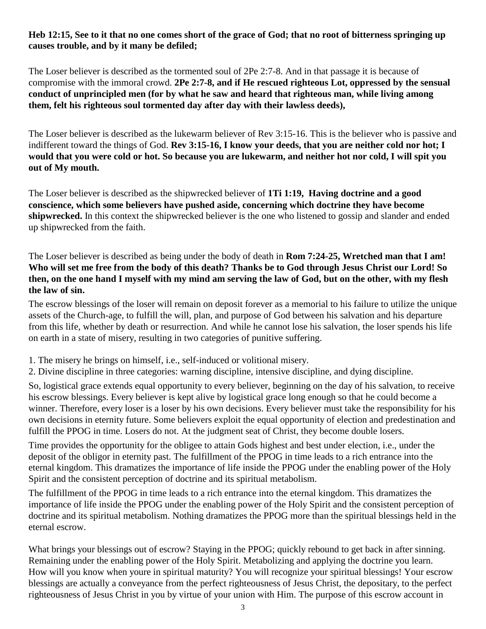#### **Heb 12:15, See to it that no one comes short of the grace of God; that no root of bitterness springing up causes trouble, and by it many be defiled;**

The Loser believer is described as the tormented soul of 2Pe 2:7-8. And in that passage it is because of compromise with the immoral crowd. **2Pe 2:7-8, and if He rescued righteous Lot, oppressed by the sensual conduct of unprincipled men (for by what he saw and heard that righteous man, while living among them, felt his righteous soul tormented day after day with their lawless deeds),**

The Loser believer is described as the lukewarm believer of Rev 3:15-16. This is the believer who is passive and indifferent toward the things of God. **Rev 3:15-16, I know your deeds, that you are neither cold nor hot; I would that you were cold or hot. So because you are lukewarm, and neither hot nor cold, I will spit you out of My mouth.**

The Loser believer is described as the shipwrecked believer of **1Ti 1:19, Having doctrine and a good conscience, which some believers have pushed aside, concerning which doctrine they have become shipwrecked.** In this context the shipwrecked believer is the one who listened to gossip and slander and ended up shipwrecked from the faith.

The Loser believer is described as being under the body of death in **Rom 7:24-25, Wretched man that I am! Who will set me free from the body of this death? Thanks be to God through Jesus Christ our Lord! So then, on the one hand I myself with my mind am serving the law of God, but on the other, with my flesh the law of sin.**

The escrow blessings of the loser will remain on deposit forever as a memorial to his failure to utilize the unique assets of the Church-age, to fulfill the will, plan, and purpose of God between his salvation and his departure from this life, whether by death or resurrection. And while he cannot lose his salvation, the loser spends his life on earth in a state of misery, resulting in two categories of punitive suffering.

- 1. The misery he brings on himself, i.e., self-induced or volitional misery.
- 2. Divine discipline in three categories: warning discipline, intensive discipline, and dying discipline.

So, logistical grace extends equal opportunity to every believer, beginning on the day of his salvation, to receive his escrow blessings. Every believer is kept alive by logistical grace long enough so that he could become a winner. Therefore, every loser is a loser by his own decisions. Every believer must take the responsibility for his own decisions in eternity future. Some believers exploit the equal opportunity of election and predestination and fulfill the PPOG in time. Losers do not. At the judgment seat of Christ, they become double losers.

Time provides the opportunity for the obligee to attain Gods highest and best under election, i.e., under the deposit of the obligor in eternity past. The fulfillment of the PPOG in time leads to a rich entrance into the eternal kingdom. This dramatizes the importance of life inside the PPOG under the enabling power of the Holy Spirit and the consistent perception of doctrine and its spiritual metabolism.

The fulfillment of the PPOG in time leads to a rich entrance into the eternal kingdom. This dramatizes the importance of life inside the PPOG under the enabling power of the Holy Spirit and the consistent perception of doctrine and its spiritual metabolism. Nothing dramatizes the PPOG more than the spiritual blessings held in the eternal escrow.

What brings your blessings out of escrow? Staying in the PPOG; quickly rebound to get back in after sinning. Remaining under the enabling power of the Holy Spirit. Metabolizing and applying the doctrine you learn. How will you know when youre in spiritual maturity? You will recognize your spiritual blessings! Your escrow blessings are actually a conveyance from the perfect righteousness of Jesus Christ, the depositary, to the perfect righteousness of Jesus Christ in you by virtue of your union with Him. The purpose of this escrow account in